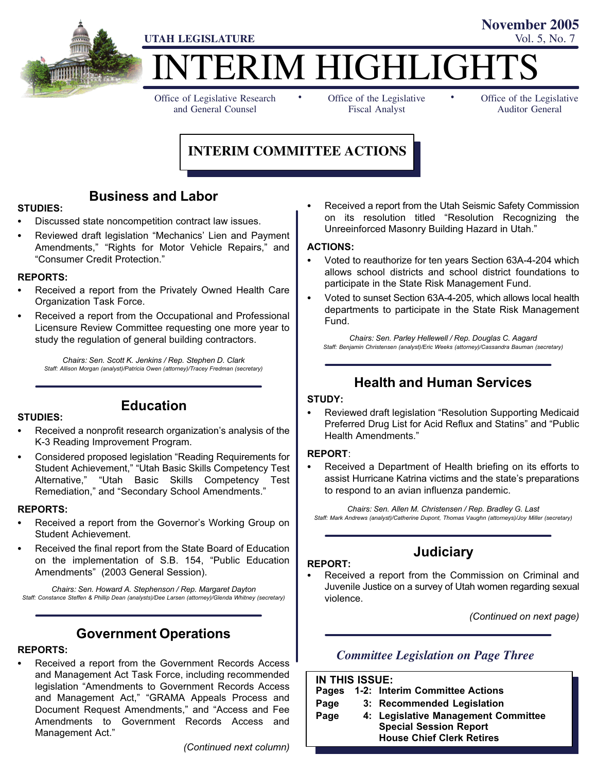

TERIM HIGHLIGHT

Office of Legislative Research and General Counsel

Office of the Legislative Fiscal Analyst

Office of the Legislative Auditor General

**November 2005**

# **INTERIM COMMITTEE ACTIONS**

-

# Business and Labor

#### STUDIES:

- -Discussed state noncompetition contract law issues.
- -• Reviewed draft legislation "Mechanics' Lien and Payment Amendments," "Rights for Motor Vehicle Repairs," and -Consumer Credit Protection."

#### REPORTS:

- - Received a report from the Privately Owned Health Care Organization Task Force.
- - Received a report from the Occupational and Professional Licensure Review Committee requesting one more year to study the regulation of general building contractors.

Chairs: Sen. Scott K. Jenkins / Rep. Stephen D. Clark Staff: Allison Morgan (analyst)/Patricia Owen (attorney)/Tracey Fredman (secretary)

#### STUDIES:

# Education

- - Received a nonprofit research organization's analysis of the K−3 Reading Improvement Program.
- -• Considered proposed legislation "Reading Requirements for Student Achievement," "Utah Basic Skills Competency Test Alternative," "Utah Basic Skills Competency Test Remediation," and "Secondary School Amendments."

#### REPORTS:

- - Received a report from the Governor's Working Group on Student Achievement.
- - Received the final report from the State Board of Education on the implementation of S.B. 154, "Public Education Amendments" (2003 General Session).

Chairs: Sen. Howard A. Stephenson / Rep. Margaret Dayton Staff: Constance Steffen & Phillip Dean (analysts)/Dee Larsen (attorney)/Glenda Whitney (secretary)

# Government Operations

#### REPORTS:

- Received a report from the Government Records Access and Management Act Task Force, including recommended legislation "Amendments to Government Records Access and Management Act," "GRAMA Appeals Process and Document Request Amendments," and "Access and Fee Amendments to Government Records Access and Management Act."

(Continued next column)

- Received a report from the Utah Seismic Safety Commission on its resolution titled "Resolution Recognizing the Unreeinforced Masonry Building Hazard in Utah."

-

#### ACTIONS:

- - Voted to reauthorize for ten years Section 63A−4−204 which allows school districts and school district foundations to participate in the State Risk Management Fund.
- - Voted to sunset Section 63A−4−205, which allows local health departments to participate in the State Risk Management Fund.

Chairs: Sen. Parley Hellewell / Rep. Douglas C. Aagard Staff: Benjamin Christensen (analyst)/Eric Weeks (attorney)/Cassandra Bauman (secretary)

# Health and Human Services

#### STUDY:

-• Reviewed draft legislation "Resolution Supporting Medicaid Preferred Drug List for Acid Reflux and Statins" and "Public Health Amendments."

#### REPORT:

- Received a Department of Health briefing on its efforts to assist Hurricane Katrina victims and the state's preparations to respond to an avian influenza pandemic.

Chairs: Sen. Allen M. Christensen / Rep. Bradley G. Last Staff: Mark Andrews (analyst)/Catherine Dupont, Thomas Vaughn (attorneys)/Joy Miller (secretary)

#### REPORT:

-

# **Judiciary**

 Received a report from the Commission on Criminal and Juvenile Justice on a survey of Utah women regarding sexual violence.

(Continued on next page)

# *Committee Legislation on Page Three*

| <b>IN THIS ISSUE:</b> |  |                                     |
|-----------------------|--|-------------------------------------|
| <b>Pages</b>          |  | 1-2: Interim Committee Actions      |
| Page                  |  | 3: Recommended Legislation          |
| Page                  |  | 4: Legislative Management Committee |
|                       |  | <b>Special Session Report</b>       |
|                       |  | <b>House Chief Clerk Retires</b>    |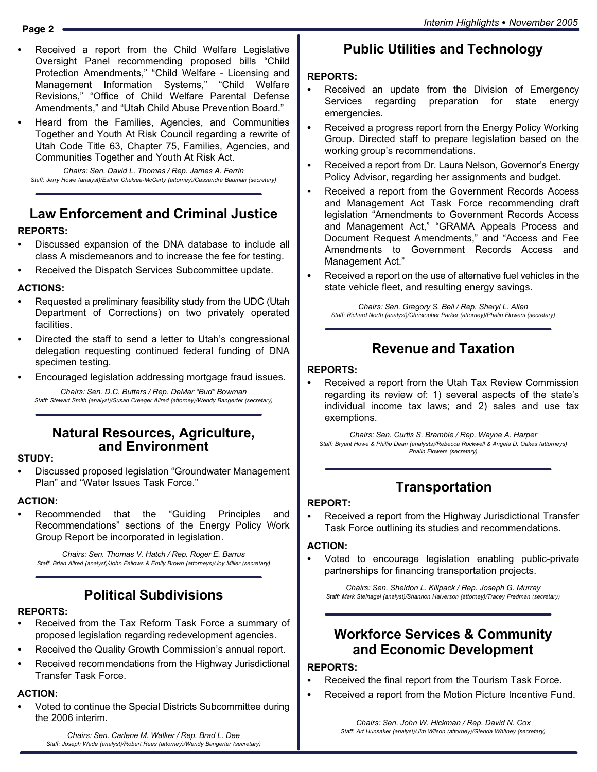- - Received a report from the Child Welfare Legislative Oversight Panel recommending proposed bills "Child Protection Amendments," "Child Welfare - Licensing and Management Information Systems," Child Welfare Revisions," "Office of Child Welfare Parental Defense Amendments," and "Utah Child Abuse Prevention Board."
- - Heard from the Families, Agencies, and Communities Together and Youth At Risk Council regarding a rewrite of Utah Code Title 63, Chapter 75, Families, Agencies, and Communities Together and Youth At Risk Act.

Chairs: Sen. David L. Thomas / Rep. James A. Ferrin Staff: Jerry Howe (analyst)/Esther Chelsea−McCarty (attorney)/Cassandra Bauman (secretary)

# Law Enforcement and Criminal Justice

# REPORTS:

- - Discussed expansion of the DNA database to include all class A misdemeanors and to increase the fee for testing.
- -Received the Dispatch Services Subcommittee update.

## ACTIONS:

- - Requested a preliminary feasibility study from the UDC (Utah Department of Corrections) on two privately operated facilities.
- - Directed the staff to send a letter to Utah's congressional delegation requesting continued federal funding of DNA specimen testing.
- -Encouraged legislation addressing mortgage fraud issues.

Chairs: Sen. D.C. Buttars / Rep. DeMar "Bud" Bowman Staff: Stewart Smith (analyst)/Susan Creager Allred (attorney)/Wendy Bangerter (secretary)

# Natural Resources, Agriculture, and Environment

## STUDY:

-• Discussed proposed legislation "Groundwater Management Plan" and "Water Issues Task Force."

# ACTION:

-Recommended that the "Guiding" Principles and Recommendations" sections of the Energy Policy Work Group Report be incorporated in legislation.

Chairs: Sen. Thomas V. Hatch / Rep. Roger E. Barrus Staff: Brian Allred (analyst)/John Fellows & Emily Brown (attorneys)/Joy Miller (secretary)

# Political Subdivisions

# REPORTS:

- - Received from the Tax Reform Task Force a summary of proposed legislation regarding redevelopment agencies.
- -Received the Quality Growth Commission's annual report.
- - Received recommendations from the Highway Jurisdictional Transfer Task Force.

## ACTION:

- Voted to continue the Special Districts Subcommittee during the 2006 interim.

Public Utilities and Technology

## REPORTS:

- - Received an update from the Division of Emergency Services regarding preparation for state energy emergencies.
- - Received a progress report from the Energy Policy Working Group. Directed staff to prepare legislation based on the working group´s recommendations.
- - Received a report from Dr. Laura Nelson, Governor´s Energy Policy Advisor, regarding her assignments and budget.
- - Received a report from the Government Records Access and Management Act Task Force recommending draft legislation "Amendments to Government Records Access and Management Act," "GRAMA Appeals Process and Document Request Amendments," and "Access and Fee Amendments to Government Records Access and Management Act."
- - Received a report on the use of alternative fuel vehicles in the state vehicle fleet, and resulting energy savings.

Chairs: Sen. Gregory S. Bell / Rep. Sheryl L. Allen Staff: Richard North (analyst)/Christopher Parker (attorney)/Phalin Flowers (secretary)

# Revenue and Taxation

#### REPORTS: -

 Received a report from the Utah Tax Review Commission regarding its review of: 1) several aspects of the state´s individual income tax laws; and 2) sales and use tax exemptions.

Chairs: Sen. Curtis S. Bramble / Rep. Wayne A. Harper Staff: Bryant Howe & Phillip Dean (analysts)/Rebecca Rockwell & Angela D. Oakes (attorneys) Phalin Flowers (secretary)

# Transportation

#### REPORT:

- Received a report from the Highway Jurisdictional Transfer Task Force outlining its studies and recommendations.

#### ACTION:

-

 Voted to encourage legislation enabling public−private partnerships for financing transportation projects.

Chairs: Sen. Sheldon L. Killpack / Rep. Joseph G. Murray Staff: Mark Steinagel (analyst)/Shannon Halverson (attorney)/Tracey Fredman (secretary)

# Workforce Services & Community and Economic Development

#### REPORTS:

- -Received the final report from the Tourism Task Force.
- -Received a report from the Motion Picture Incentive Fund.

Chairs: Sen. John W. Hickman / Rep. David N. Cox Staff: Art Hunsaker (analyst)/Jim Wilson (attorney)/Glenda Whitney (secretary)

Chairs: Sen. Carlene M. Walker / Rep. Brad L. Dee Staff: Joseph Wade (analyst)/Robert Rees (attorney)/Wendy Bangerter (secretary)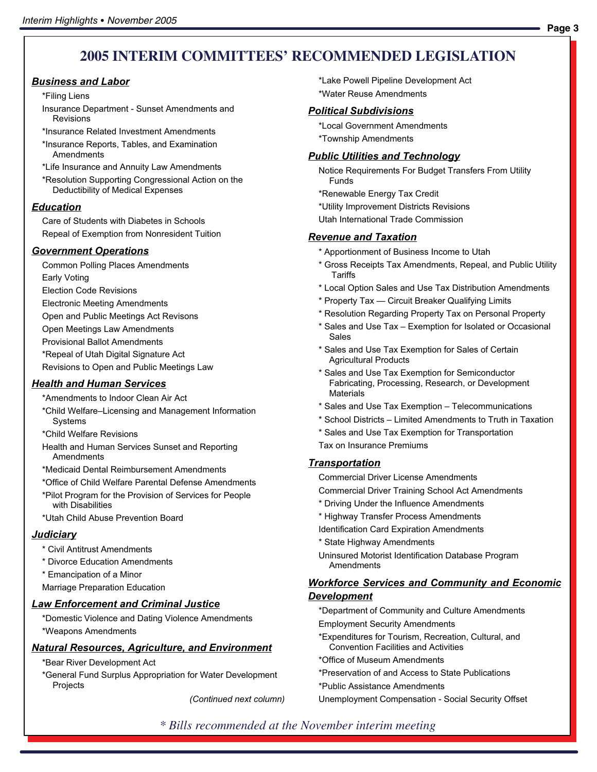# **2005 INTERIM COMMITTEES' RECOMMENDED LEGISLATION**

#### Business and Labor

#### \*Filing Liens

- Insurance Department − Sunset Amendments and Revisions
- \*Insurance Related Investment Amendments
- \*Insurance Reports, Tables, and Examination Amendments
- \*Life Insurance and Annuity Law Amendments
- \*Resolution Supporting Congressional Action on the Deductibility of Medical Expenses

#### **Education**

Care of Students with Diabetes in Schools Repeal of Exemption from Nonresident Tuition

#### Government Operations

- Common Polling Places Amendments
- Early Voting
- Election Code Revisions
- Electronic Meeting Amendments
- Open and Public Meetings Act Revisons
- Open Meetings Law Amendments
- Provisional Ballot Amendments
- \*Repeal of Utah Digital Signature Act
- Revisions to Open and Public Meetings Law

#### **Health and Human Services**

- \*Amendments to Indoor Clean Air Act
- \*Child Welfare˘Licensing and Management Information **Systems**
- \*Child Welfare Revisions
- Health and Human Services Sunset and Reporting Amendments
- \*Medicaid Dental Reimbursement Amendments
- \*Office of Child Welfare Parental Defense Amendments
- \*Pilot Program for the Provision of Services for People with Disabilities
- \*Utah Child Abuse Prevention Board

#### **Judiciary**

- \* Civil Antitrust Amendments
- \* Divorce Education Amendments
- \* Emancipation of a Minor
- Marriage Preparation Education

#### Law Enforcement and Criminal Justice

\*Domestic Violence and Dating Violence Amendments \*Weapons Amendments

#### Natural Resources, Agriculture, and Environment

- \*Bear River Development Act
- \*General Fund Surplus Appropriation for Water Development Projects

(Continued next column)

\*Lake Powell Pipeline Development Act \*Water Reuse Amendments

#### Political Subdivisions

\*Local Government Amendments \*Township Amendments

#### **Public Utilities and Technology**

- Notice Requirements For Budget Transfers From Utility Funds
- \*Renewable Energy Tax Credit
- \*Utility Improvement Districts Revisions
- Utah International Trade Commission

#### Revenue and Taxation

- \* Apportionment of Business Income to Utah
- \* Gross Receipts Tax Amendments, Repeal, and Public Utility Tariffs
- \* Local Option Sales and Use Tax Distribution Amendments
- \* Property Tax Circuit Breaker Qualifying Limits
- \* Resolution Regarding Property Tax on Personal Property
- \* Sales and Use Tax Exemption for Isolated or Occasional Sales
- \* Sales and Use Tax Exemption for Sales of Certain Agricultural Products
- \* Sales and Use Tax Exemption for Semiconductor Fabricating, Processing, Research, or Development Materials
- \* Sales and Use Tax Exemption Telecommunications
- \* School Districts Limited Amendments to Truth in Taxation
- \* Sales and Use Tax Exemption for Transportation
- Tax on Insurance Premiums

#### Transportation

Commercial Driver License Amendments

Commercial Driver Training School Act Amendments

- \* Driving Under the Influence Amendments
- \* Highway Transfer Process Amendments
- Identification Card Expiration Amendments
- \* State Highway Amendments
- Uninsured Motorist Identification Database Program Amendments

#### **Workforce Services and Community and Economic** Development

\*Department of Community and Culture Amendments Employment Security Amendments

- \*Expenditures for Tourism, Recreation, Cultural, and Convention Facilities and Activities
- \*Office of Museum Amendments
- \*Preservation of and Access to State Publications
- \*Public Assistance Amendments

Unemployment Compensation − Social Security Offset

# **Page 3**

# *\* Bills recommended at the November interim meeting*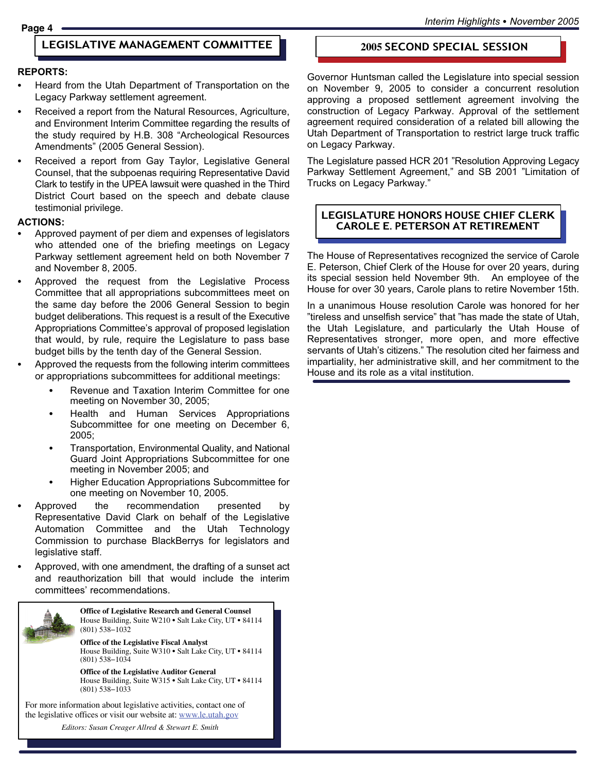#### LEGISLATIVE MANAGEMENT COMMITTEE **2005** SECOND SPECIAL SESSION

#### REPORTS:

- - Heard from the Utah Department of Transportation on the Legacy Parkway settlement agreement.
- - Received a report from the Natural Resources, Agriculture, and Environment Interim Committee regarding the results of the study required by H.B. 308 "Archeological Resources Amendments" (2005 General Session).
- - Received a report from Gay Taylor, Legislative General Counsel, that the subpoenas requiring Representative David Clark to testify in the UPEA lawsuit were quashed in the Third District Court based on the speech and debate clause testimonial privilege.

#### ACTIONS:

- - Approved payment of per diem and expenses of legislators who attended one of the briefing meetings on Legacy Parkway settlement agreement held on both November 7 and November 8, 2005.
- - Approved the request from the Legislative Process Committee that all appropriations subcommittees meet on the same day before the 2006 General Session to begin budget deliberations. This request is a result of the Executive Appropriations Committee's approval of proposed legislation that would, by rule, require the Legislature to pass base budget bills by the tenth day of the General Session.
- - Approved the requests from the following interim committees or appropriations subcommittees for additional meetings:
	- - Revenue and Taxation Interim Committee for one meeting on November 30, 2005;
	- - Health and Human Services Appropriations Subcommittee for one meeting on December 6, 2005;
	- - Transportation, Environmental Quality, and National Guard Joint Appropriations Subcommittee for one meeting in November 2005; and
	- - Higher Education Appropriations Subcommittee for one meeting on November 10, 2005.
- - Approved the recommendation presented by Representative David Clark on behalf of the Legislative Automation Committee and the Utah Technology Commission to purchase BlackBerrys for legislators and legislative staff.
- - Approved, with one amendment, the drafting of a sunset act and reauthorization bill that would include the interim committees' recommendations.



**Office of Legislative Research and General Counsel** House Building, Suite W210 · Salt Lake City, UT · 84114 (801) 538−1032

**Office of the Legislative Fiscal Analyst** House Building, Suite W310 · Salt Lake City, UT · 84114 (801) 538−1034

**Office of the Legislative Auditor General** House Building, Suite W315 • Salt Lake City, UT • 84114 (801) 538−1033

the legislative offices or visit our website at: www.le.utah.gov For more information about legislative activities, contact one of

the legislative offices or access our website at: www.le.utah.gov Editors: Susan Creager−Allred & Stewart Smith *Editors: Susan Creager Allred & Stewart E. Smith*

Governor Huntsman called the Legislature into special session on November 9, 2005 to consider a concurrent resolution approving a proposed settlement agreement involving the construction of Legacy Parkway. Approval of the settlement agreement required consideration of a related bill allowing the Utah Department of Transportation to restrict large truck traffic on Legacy Parkway.

The Legislature passed HCR 201 "Resolution Approving Legacy Parkway Settlement Agreement," and SB 2001 "Limitation of Trucks on Legacy Parkway."

## LEGISLATURE HONORS HOUSE CHIEF CLERK CAROLE E. PETERSON AT RETIREMENT

The House of Representatives recognized the service of Carole E. Peterson, Chief Clerk of the House for over 20 years, during its special session held November 9th. An employee of the House for over 30 years, Carole plans to retire November 15th.

In a unanimous House resolution Carole was honored for her "tireless and unselfish service" that "has made the state of Utah, the Utah Legislature, and particularly the Utah House of Representatives stronger, more open, and more effective servants of Utah's citizens." The resolution cited her fairness and impartiality, her administrative skill, and her commitment to the House and its role as a vital institution.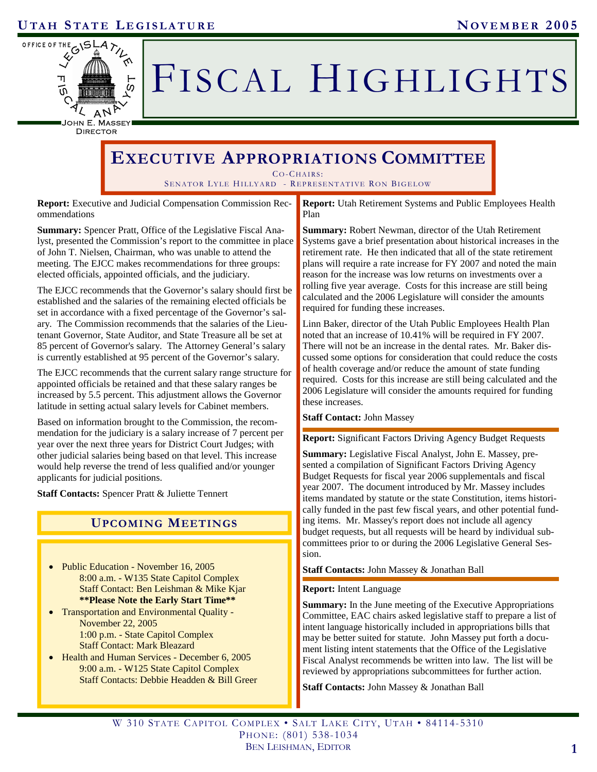

# FISCAL HIGHLIGHTS

DIRECTOR

# **EXECUTIVE APPROPRIATIONS COMMITTEE**

CO-CHAIRS:

SENATOR LYLE HILLYARD - REPRESENTATIVE RON BIGELOW

**Report:** Executive and Judicial Compensation Commission Recommendations

**Summary:** Spencer Pratt, Office of the Legislative Fiscal Analyst, presented the Commission's report to the committee in place of John T. Nielsen, Chairman, who was unable to attend the meeting. The EJCC makes recommendations for three groups: elected officials, appointed officials, and the judiciary.

The EJCC recommends that the Governor's salary should first be established and the salaries of the remaining elected officials be set in accordance with a fixed percentage of the Governor's salary. The Commission recommends that the salaries of the Lieutenant Governor, State Auditor, and State Treasure all be set at 85 percent of Governor's salary. The Attorney General's salary is currently established at 95 percent of the Governor's salary.

The EJCC recommends that the current salary range structure for appointed officials be retained and that these salary ranges be increased by 5.5 percent. This adjustment allows the Governor latitude in setting actual salary levels for Cabinet members.

Based on information brought to the Commission, the recommendation for the judiciary is a salary increase of 7 percent per year over the next three years for District Court Judges; with other judicial salaries being based on that level. This increase would help reverse the trend of less qualified and/or younger applicants for judicial positions.

**Staff Contacts:** Spencer Pratt & Juliette Tennert

# **UPCOMING MEETINGS**

- Public Education November 16, 2005<br>
Staff Contacts: John Massey & Jonathan Ball 8:00 a.m. - W135 State Capitol Complex Staff Contact: Ben Leishman & Mike Kjar **\*\*Please Note the Early Start Time\*\***
- Transportation and Environmental Quality November 22, 2005 1:00 p.m. - State Capitol Complex Staff Contact: Mark Bleazard
- Health and Human Services December 6, 2005 9:00 a.m. - W125 State Capitol Complex Staff Contacts: Debbie Headden & Bill Greer

**Report:** Utah Retirement Systems and Public Employees Health Plan

**Summary:** Robert Newman, director of the Utah Retirement Systems gave a brief presentation about historical increases in the retirement rate. He then indicated that all of the state retirement plans will require a rate increase for FY 2007 and noted the main reason for the increase was low returns on investments over a rolling five year average. Costs for this increase are still being calculated and the 2006 Legislature will consider the amounts required for funding these increases.

Linn Baker, director of the Utah Public Employees Health Plan noted that an increase of 10.41% will be required in FY 2007. There will not be an increase in the dental rates. Mr. Baker discussed some options for consideration that could reduce the costs of health coverage and/or reduce the amount of state funding required. Costs for this increase are still being calculated and the 2006 Legislature will consider the amounts required for funding these increases.

#### **Staff Contact:** John Massey

**Report:** Significant Factors Driving Agency Budget Requests

**Summary:** Legislative Fiscal Analyst, John E. Massey, presented a compilation of Significant Factors Driving Agency Budget Requests for fiscal year 2006 supplementals and fiscal year 2007. The document introduced by Mr. Massey includes items mandated by statute or the state Constitution, items historically funded in the past few fiscal years, and other potential funding items. Mr. Massey's report does not include all agency budget requests, but all requests will be heard by individual subcommittees prior to or during the 2006 Legislative General Session.

#### **Report:** Intent Language

**Summary:** In the June meeting of the Executive Appropriations Committee, EAC chairs asked legislative staff to prepare a list of intent language historically included in appropriations bills that may be better suited for statute. John Massey put forth a document listing intent statements that the Office of the Legislative Fiscal Analyst recommends be written into law. The list will be reviewed by appropriations subcommittees for further action.

**Staff Contacts:** John Massey & Jonathan Ball